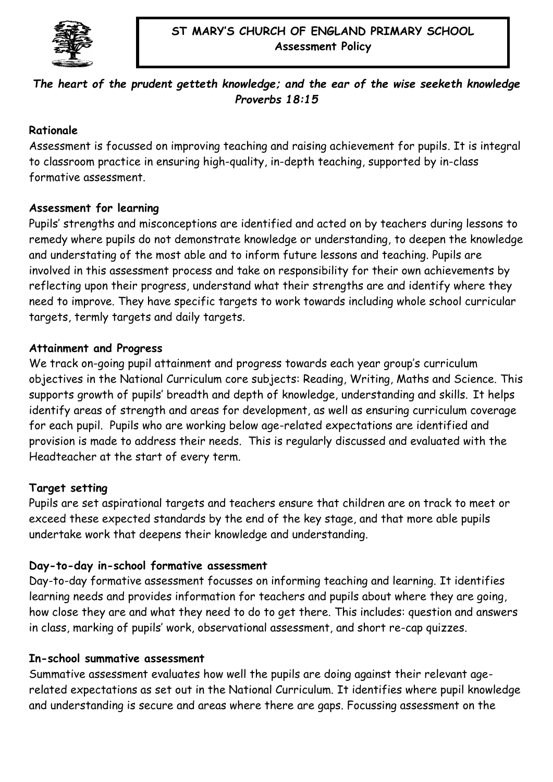

## *The heart of the prudent getteth knowledge; and the ear of the wise seeketh knowledge Proverbs 18:15*

## **Rationale**

Assessment is focussed on improving teaching and raising achievement for pupils. It is integral to classroom practice in ensuring high-quality, in-depth teaching, supported by in-class formative assessment.

## **Assessment for learning**

Pupils' strengths and misconceptions are identified and acted on by teachers during lessons to remedy where pupils do not demonstrate knowledge or understanding, to deepen the knowledge and understating of the most able and to inform future lessons and teaching. Pupils are involved in this assessment process and take on responsibility for their own achievements by reflecting upon their progress, understand what their strengths are and identify where they need to improve. They have specific targets to work towards including whole school curricular targets, termly targets and daily targets.

## **Attainment and Progress**

We track on-going pupil attainment and progress towards each year group's curriculum objectives in the National Curriculum core subjects: Reading, Writing, Maths and Science. This supports growth of pupils' breadth and depth of knowledge, understanding and skills. It helps identify areas of strength and areas for development, as well as ensuring curriculum coverage for each pupil. Pupils who are working below age-related expectations are identified and provision is made to address their needs. This is regularly discussed and evaluated with the Headteacher at the start of every term.

## **Target setting**

Pupils are set aspirational targets and teachers ensure that children are on track to meet or exceed these expected standards by the end of the key stage, and that more able pupils undertake work that deepens their knowledge and understanding.

# **Day-to-day in-school formative assessment**

Day-to-day formative assessment focusses on informing teaching and learning. It identifies learning needs and provides information for teachers and pupils about where they are going, how close they are and what they need to do to get there. This includes: question and answers in class, marking of pupils' work, observational assessment, and short re-cap quizzes.

## **In-school summative assessment**

Summative assessment evaluates how well the pupils are doing against their relevant agerelated expectations as set out in the National Curriculum. It identifies where pupil knowledge and understanding is secure and areas where there are gaps. Focussing assessment on the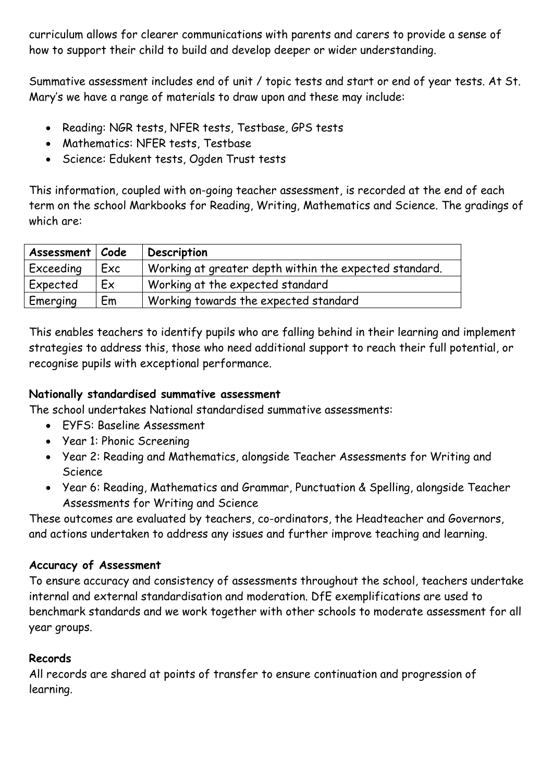curriculum allows for clearer communications with parents and carers to provide a sense of how to support their child to build and develop deeper or wider understanding.

Summative assessment includes end of unit / topic tests and start or end of year tests. At St. Mary's we have a range of materials to draw upon and these may include:

- Reading: NGR tests, NFER tests, Testbase, GPS tests
- Mathematics: NFER tests, Testbase
- Science: Edukent tests, Ogden Trust tests

This information, coupled with on-going teacher assessment, is recorded at the end of each term on the school Markbooks for Reading, Writing, Mathematics and Science. The gradings of which are:

| Assessment   Code |     | Description                                            |
|-------------------|-----|--------------------------------------------------------|
| Exceeding         | Exc | Working at greater depth within the expected standard. |
| Expected          | Ex  | Working at the expected standard                       |
| Emerging          | Em  | Working towards the expected standard                  |

This enables teachers to identify pupils who are falling behind in their learning and implement strategies to address this, those who need additional support to reach their full potential, or recognise pupils with exceptional performance.

## **Nationally standardised summative assessment**

The school undertakes National standardised summative assessments:

- EYFS: Baseline Assessment
- Year 1: Phonic Screening
- Year 2: Reading and Mathematics, alongside Teacher Assessments for Writing and Science
- Year 6: Reading, Mathematics and Grammar, Punctuation & Spelling, alongside Teacher Assessments for Writing and Science

These outcomes are evaluated by teachers, co-ordinators, the Headteacher and Governors, and actions undertaken to address any issues and further improve teaching and learning.

# **Accuracy of Assessment**

To ensure accuracy and consistency of assessments throughout the school, teachers undertake internal and external standardisation and moderation. DfE exemplifications are used to benchmark standards and we work together with other schools to moderate assessment for all year groups.

# **Records**

All records are shared at points of transfer to ensure continuation and progression of learning.